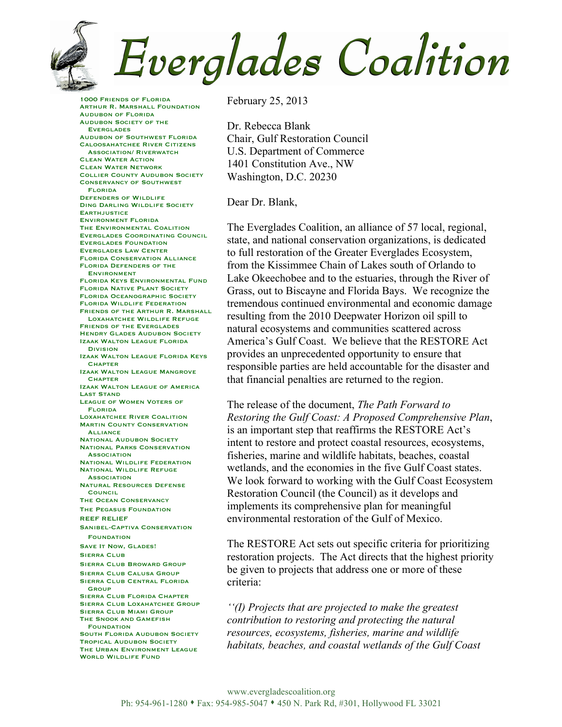

## Everglades Coalition

1000 Friends of Florida Arthur R. Marshall Foundation Audubon of Florida Audubon Society of the Everglades Audubon of Southwest Florida Caloosahatchee River Citizens Association/ Riverwatch Clean Water Action Clean Water Network Collier County Audubon Society Conservancy of Southwest Florida Defenders of Wildlife Ding Darling Wildlife Society **EARTHJUSTICE** Environment Florida The Environmental Coalition Everglades Coordinating Council Everglades Foundation Everglades Law Center Florida Conservation Alliance Florida Defenders of the **ENVIRONMENT** Florida Keys Environmental Fund Florida Native Plant Society Florida Oceanographic Society Florida Wildlife Federation FRIENDS OF THE ARTHUR R. MARSHALL Loxahatchee Wildlife Refuge Friends of the Everglades Hendry Glades Audubon Society Izaak Walton League Florida **Division** Izaak Walton League Florida Keys **CHAPTER** Izaak Walton League Mangrove **CHAPTER** Izaak Walton League of America Last Stand League of Women Voters of Florida Loxahatchee River Coalition **MARTIN COUNTY CONSERVATION ALLIANCE NATIONAL AUDUBON SOCIETY** National Parks Conservation **ASSOCIATION** National Wildlife Federation National Wildlife Refuge **ASSOCIATION** Natural Resources Defense **COUNCIL** The Ocean Conservancy The Pegasus Foundation REEF RELIEF Sanibel-Captiva Conservation **FOUNDATION** SAVE IT NOW, GLADES! Sierra Club Sierra Club Broward Group Sierra Club Calusa Group Sierra Club Central Florida **GROUP** Sierra Club Florida Chapter Sierra Club Loxahatchee Group Sierra Club Miami Group The Snook and Gamefish **FOUNDATION** South Florida Audubon Society Tropical Audubon Society THE URBAN ENVIRONMENT LEAGUE WORLD WILDLIFE FUND

February 25, 2013

Dr. Rebecca Blank Chair, Gulf Restoration Council U.S. Department of Commerce 1401 Constitution Ave., NW Washington, D.C. 20230

Dear Dr. Blank,

The Everglades Coalition, an alliance of 57 local, regional, state, and national conservation organizations, is dedicated to full restoration of the Greater Everglades Ecosystem, from the Kissimmee Chain of Lakes south of Orlando to Lake Okeechobee and to the estuaries, through the River of Grass, out to Biscayne and Florida Bays. We recognize the tremendous continued environmental and economic damage resulting from the 2010 Deepwater Horizon oil spill to natural ecosystems and communities scattered across America's Gulf Coast. We believe that the RESTORE Act provides an unprecedented opportunity to ensure that responsible parties are held accountable for the disaster and that financial penalties are returned to the region.

The release of the document, *The Path Forward to Restoring the Gulf Coast: A Proposed Comprehensive Plan*, is an important step that reaffirms the RESTORE Act's intent to restore and protect coastal resources, ecosystems, fisheries, marine and wildlife habitats, beaches, coastal wetlands, and the economies in the five Gulf Coast states. We look forward to working with the Gulf Coast Ecosystem Restoration Council (the Council) as it develops and implements its comprehensive plan for meaningful environmental restoration of the Gulf of Mexico.

The RESTORE Act sets out specific criteria for prioritizing restoration projects. The Act directs that the highest priority be given to projects that address one or more of these criteria:

*''(I) Projects that are projected to make the greatest contribution to restoring and protecting the natural resources, ecosystems, fisheries, marine and wildlife habitats, beaches, and coastal wetlands of the Gulf Coast*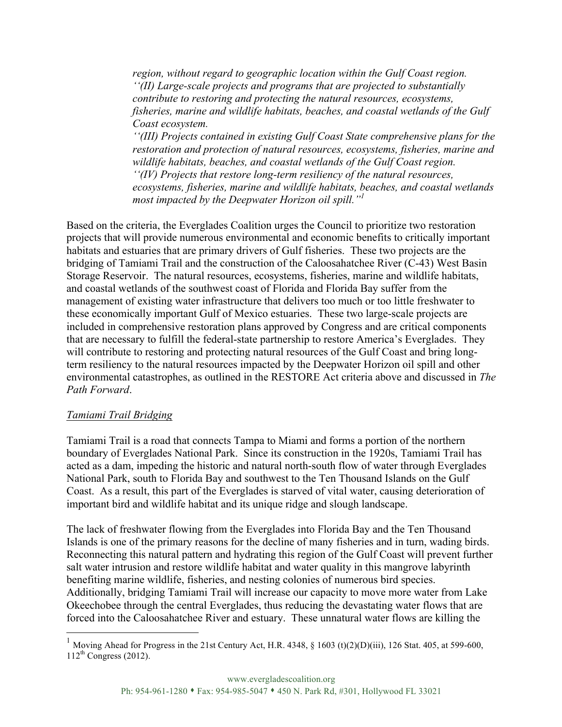*region, without regard to geographic location within the Gulf Coast region. ''(II) Large-scale projects and programs that are projected to substantially contribute to restoring and protecting the natural resources, ecosystems, fisheries, marine and wildlife habitats, beaches, and coastal wetlands of the Gulf Coast ecosystem.*

*''(III) Projects contained in existing Gulf Coast State comprehensive plans for the restoration and protection of natural resources, ecosystems, fisheries, marine and wildlife habitats, beaches, and coastal wetlands of the Gulf Coast region. ''(IV) Projects that restore long-term resiliency of the natural resources, ecosystems, fisheries, marine and wildlife habitats, beaches, and coastal wetlands most impacted by the Deepwater Horizon oil spill."1*

Based on the criteria, the Everglades Coalition urges the Council to prioritize two restoration projects that will provide numerous environmental and economic benefits to critically important habitats and estuaries that are primary drivers of Gulf fisheries. These two projects are the bridging of Tamiami Trail and the construction of the Caloosahatchee River (C-43) West Basin Storage Reservoir. The natural resources, ecosystems, fisheries, marine and wildlife habitats, and coastal wetlands of the southwest coast of Florida and Florida Bay suffer from the management of existing water infrastructure that delivers too much or too little freshwater to these economically important Gulf of Mexico estuaries. These two large-scale projects are included in comprehensive restoration plans approved by Congress and are critical components that are necessary to fulfill the federal-state partnership to restore America's Everglades. They will contribute to restoring and protecting natural resources of the Gulf Coast and bring longterm resiliency to the natural resources impacted by the Deepwater Horizon oil spill and other environmental catastrophes, as outlined in the RESTORE Act criteria above and discussed in *The Path Forward*.

## *Tamiami Trail Bridging*

Tamiami Trail is a road that connects Tampa to Miami and forms a portion of the northern boundary of Everglades National Park. Since its construction in the 1920s, Tamiami Trail has acted as a dam, impeding the historic and natural north-south flow of water through Everglades National Park, south to Florida Bay and southwest to the Ten Thousand Islands on the Gulf Coast. As a result, this part of the Everglades is starved of vital water, causing deterioration of important bird and wildlife habitat and its unique ridge and slough landscape.

The lack of freshwater flowing from the Everglades into Florida Bay and the Ten Thousand Islands is one of the primary reasons for the decline of many fisheries and in turn, wading birds. Reconnecting this natural pattern and hydrating this region of the Gulf Coast will prevent further salt water intrusion and restore wildlife habitat and water quality in this mangrove labyrinth benefiting marine wildlife, fisheries, and nesting colonies of numerous bird species. Additionally, bridging Tamiami Trail will increase our capacity to move more water from Lake Okeechobee through the central Everglades, thus reducing the devastating water flows that are forced into the Caloosahatchee River and estuary. These unnatural water flows are killing the

<sup>&</sup>lt;sup>1</sup> Moving Ahead for Progress in the 21st Century Act, H.R. 4348, § 1603 (t)(2)(D)(iii), 126 Stat. 405, at 599-600,  $112^{th}$  Congress (2012).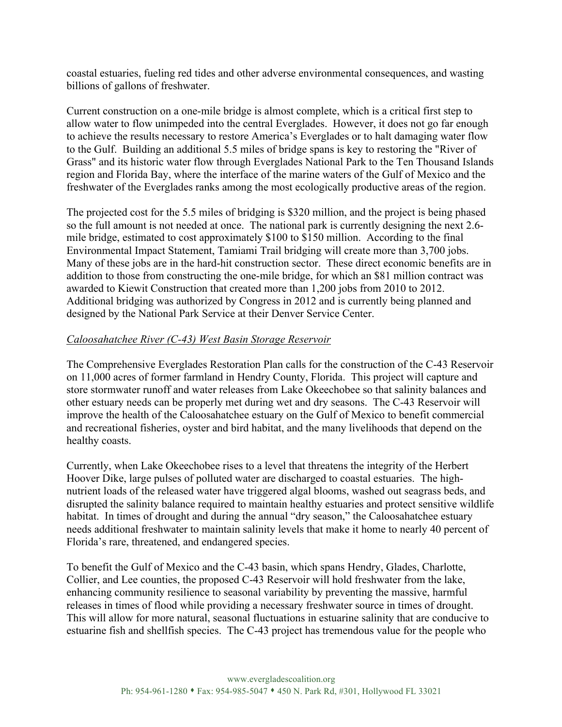coastal estuaries, fueling red tides and other adverse environmental consequences, and wasting billions of gallons of freshwater.

Current construction on a one-mile bridge is almost complete, which is a critical first step to allow water to flow unimpeded into the central Everglades. However, it does not go far enough to achieve the results necessary to restore America's Everglades or to halt damaging water flow to the Gulf. Building an additional 5.5 miles of bridge spans is key to restoring the "River of Grass" and its historic water flow through Everglades National Park to the Ten Thousand Islands region and Florida Bay, where the interface of the marine waters of the Gulf of Mexico and the freshwater of the Everglades ranks among the most ecologically productive areas of the region.

The projected cost for the 5.5 miles of bridging is \$320 million, and the project is being phased so the full amount is not needed at once. The national park is currently designing the next 2.6 mile bridge, estimated to cost approximately \$100 to \$150 million. According to the final Environmental Impact Statement, Tamiami Trail bridging will create more than 3,700 jobs. Many of these jobs are in the hard-hit construction sector. These direct economic benefits are in addition to those from constructing the one-mile bridge, for which an \$81 million contract was awarded to Kiewit Construction that created more than 1,200 jobs from 2010 to 2012. Additional bridging was authorized by Congress in 2012 and is currently being planned and designed by the National Park Service at their Denver Service Center.

## *Caloosahatchee River (C-43) West Basin Storage Reservoir*

The Comprehensive Everglades Restoration Plan calls for the construction of the C-43 Reservoir on 11,000 acres of former farmland in Hendry County, Florida. This project will capture and store stormwater runoff and water releases from Lake Okeechobee so that salinity balances and other estuary needs can be properly met during wet and dry seasons. The C-43 Reservoir will improve the health of the Caloosahatchee estuary on the Gulf of Mexico to benefit commercial and recreational fisheries, oyster and bird habitat, and the many livelihoods that depend on the healthy coasts.

Currently, when Lake Okeechobee rises to a level that threatens the integrity of the Herbert Hoover Dike, large pulses of polluted water are discharged to coastal estuaries. The highnutrient loads of the released water have triggered algal blooms, washed out seagrass beds, and disrupted the salinity balance required to maintain healthy estuaries and protect sensitive wildlife habitat. In times of drought and during the annual "dry season," the Caloosahatchee estuary needs additional freshwater to maintain salinity levels that make it home to nearly 40 percent of Florida's rare, threatened, and endangered species.

To benefit the Gulf of Mexico and the C-43 basin, which spans Hendry, Glades, Charlotte, Collier, and Lee counties, the proposed C-43 Reservoir will hold freshwater from the lake, enhancing community resilience to seasonal variability by preventing the massive, harmful releases in times of flood while providing a necessary freshwater source in times of drought. This will allow for more natural, seasonal fluctuations in estuarine salinity that are conducive to estuarine fish and shellfish species. The C-43 project has tremendous value for the people who